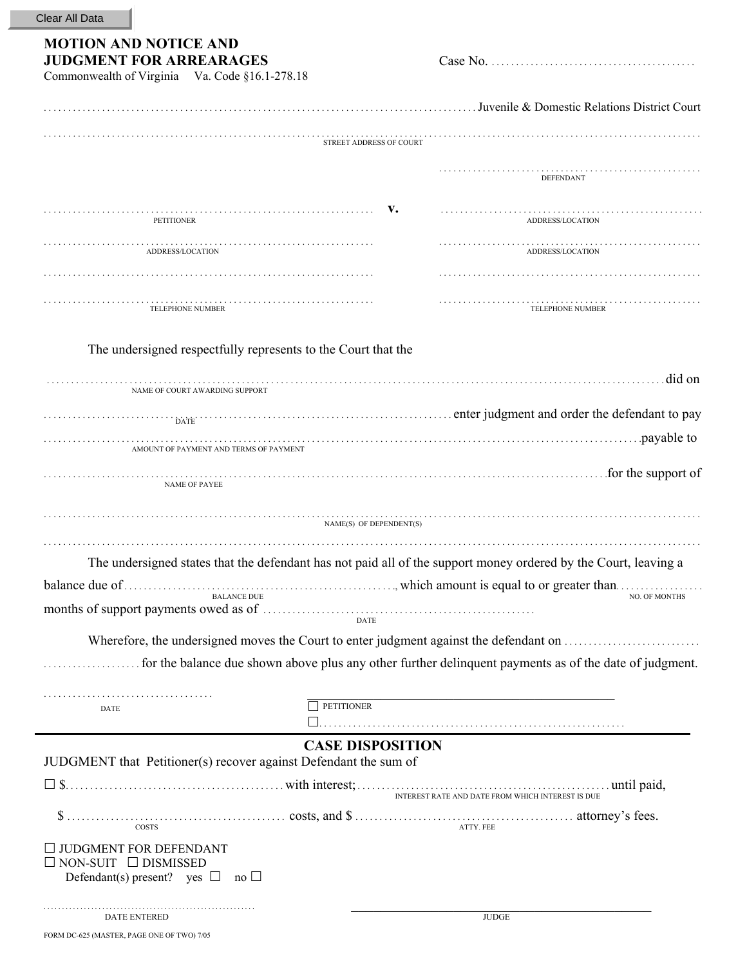## **MOTION AND NOTICE AND JUDGMENT FOR ARREARAGES** Case No. . . . . . . . . . . . . . . . . . . . . . . . . . . . . . . . . . . . . . . . . . . Commonwealth of Virginia Va. Code §16.1-278.18

|                                                                                                                                          |                                | . Juvenile & Domestic Relations District Court                                                                                                                                                                                 |
|------------------------------------------------------------------------------------------------------------------------------------------|--------------------------------|--------------------------------------------------------------------------------------------------------------------------------------------------------------------------------------------------------------------------------|
|                                                                                                                                          | <b>STREET ADDRESS OF COURT</b> |                                                                                                                                                                                                                                |
|                                                                                                                                          |                                | DEFENDANT                                                                                                                                                                                                                      |
| <b>PETITIONER</b>                                                                                                                        | v.                             | ADDRESS/LOCATION                                                                                                                                                                                                               |
| ADDRESS/LOCATION                                                                                                                         |                                | ADDRESS/LOCATION                                                                                                                                                                                                               |
|                                                                                                                                          |                                |                                                                                                                                                                                                                                |
| TELEPHONE NUMBER                                                                                                                         |                                | TELEPHONE NUMBER                                                                                                                                                                                                               |
| The undersigned respectfully represents to the Court that the                                                                            |                                |                                                                                                                                                                                                                                |
| NAME OF COURT AWARDING SUPPORT                                                                                                           |                                | did on and the contract of the contract of the contract of the contract of the contract of the contract of the contract of the contract of the contract of the contract of the contract of the contract of the contract of the |
| <b>DATE</b>                                                                                                                              |                                |                                                                                                                                                                                                                                |
| AMOUNT OF PAYMENT AND TERMS OF PAYMENT                                                                                                   |                                |                                                                                                                                                                                                                                |
|                                                                                                                                          |                                | for the support of                                                                                                                                                                                                             |
| <b>NAME OF PAYEE</b>                                                                                                                     |                                |                                                                                                                                                                                                                                |
|                                                                                                                                          | NAME(S) OF DEPENDENT(S)        |                                                                                                                                                                                                                                |
|                                                                                                                                          |                                | The undersigned states that the defendant has not paid all of the support money ordered by the Court, leaving a                                                                                                                |
|                                                                                                                                          |                                |                                                                                                                                                                                                                                |
| <b>BALANCE DUE</b>                                                                                                                       | <b>DATE</b>                    | <b>NO. OF MONTHS</b>                                                                                                                                                                                                           |
|                                                                                                                                          |                                | Wherefore, the undersigned moves the Court to enter judgment against the defendant on                                                                                                                                          |
|                                                                                                                                          |                                | for the balance due shown above plus any other further delinquent payments as of the date of judgment.                                                                                                                         |
|                                                                                                                                          | <b>PETITIONER</b>              |                                                                                                                                                                                                                                |
| DATE                                                                                                                                     |                                |                                                                                                                                                                                                                                |
| JUDGMENT that Petitioner(s) recover against Defendant the sum of                                                                         | <b>CASE DISPOSITION</b>        |                                                                                                                                                                                                                                |
|                                                                                                                                          |                                |                                                                                                                                                                                                                                |
|                                                                                                                                          |                                | ATTY. FEE                                                                                                                                                                                                                      |
| $\Box$ JUDGMENT FOR DEFENDANT<br>$\square$ NON-SUIT $\square$ DISMISSED<br>Defendant(s) present? yes $\square$<br>$\overline{\text{no}}$ |                                |                                                                                                                                                                                                                                |
| DATE ENTERED                                                                                                                             |                                | <b>JUDGE</b>                                                                                                                                                                                                                   |